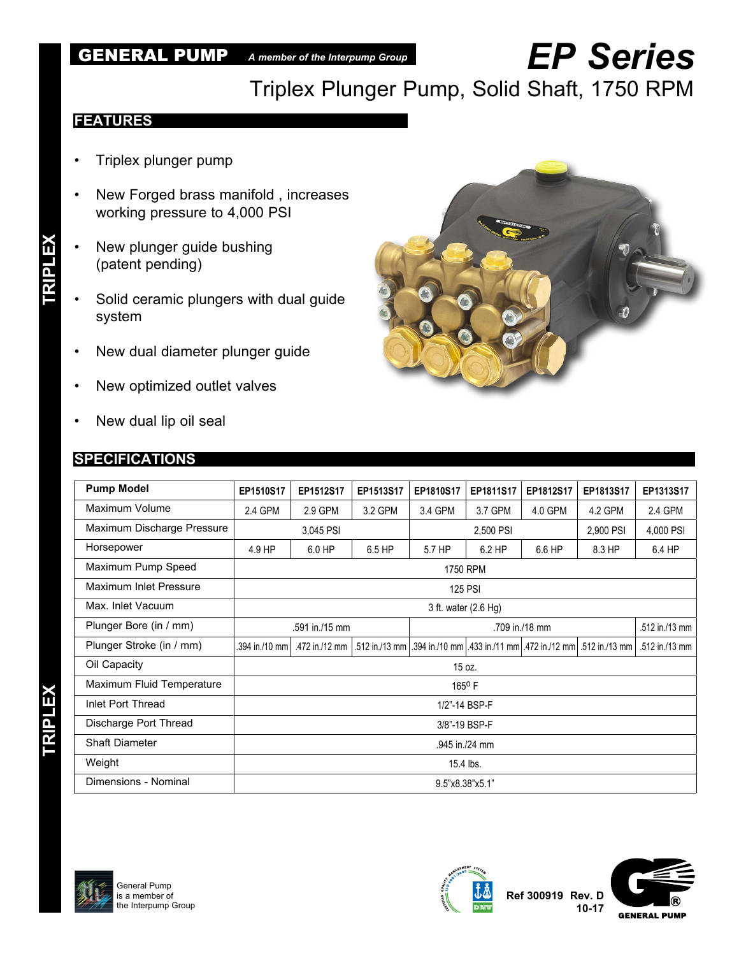### GENERAL PUMP *A member of the Interpump Group*

# *EP Series*

Triplex Plunger Pump, Solid Shaft, 1750 RPM

#### **FEATURES**

- Triplex plunger pump
- New Forged brass manifold , increases working pressure to 4,000 PSI
- New plunger guide bushing (patent pending)
- Solid ceramic plungers with dual guide system
- New dual diameter plunger guide
- New optimized outlet valves
- New dual lip oil seal

#### **SPECIFICATIONS**

**TRIPLEX TRIPLEX**

| <b>CIRCUITY</b><br>ù. |
|-----------------------|
|-----------------------|

| <b>Pump Model</b>          | EP1510S17                          | EP1512S17 | EP1513S17 | EP1810S17 | EP1811S17      | EP1812S17      | EP1813S17                                                              | EP1313S17      |
|----------------------------|------------------------------------|-----------|-----------|-----------|----------------|----------------|------------------------------------------------------------------------|----------------|
| Maximum Volume             | 2.4 GPM                            | 2.9 GPM   | 3.2 GPM   | 3.4 GPM   | 3.7 GPM        | 4.0 GPM        | 4.2 GPM                                                                | 2.4 GPM        |
| Maximum Discharge Pressure |                                    | 3,045 PSI |           |           | 2,500 PSI      | 2,900 PSI      | 4,000 PSI                                                              |                |
| Horsepower                 | 4.9 HP                             | 6.0 HP    | 6.5 HP    | 5.7 HP    | $6.2$ HP       | 6.6 HP         | 8.3 HP                                                                 | 6.4 HP         |
| Maximum Pump Speed         | 1750 RPM                           |           |           |           |                |                |                                                                        |                |
| Maximum Inlet Pressure     |                                    |           |           |           | <b>125 PSI</b> |                |                                                                        |                |
| Max. Inlet Vacuum          | 3 ft. water (2.6 Hg)               |           |           |           |                |                |                                                                        |                |
| Plunger Bore (in / mm)     | .591 in./15 mm                     |           |           |           |                | .512 in./13 mm |                                                                        |                |
| Plunger Stroke (in / mm)   | .394 in./10 mm l<br>.472 in./12 mm |           |           |           |                |                | .512 in./13 mm 394 in./10 mm 433 in./11 mm 472 in./12 mm 512 in./13 mm | .512 in./13 mm |
| Oil Capacity               | 15 oz.                             |           |           |           |                |                |                                                                        |                |
| Maximum Fluid Temperature  | 165°F                              |           |           |           |                |                |                                                                        |                |
| Inlet Port Thread          | 1/2"-14 BSP-F                      |           |           |           |                |                |                                                                        |                |
| Discharge Port Thread      | 3/8"-19 BSP-F                      |           |           |           |                |                |                                                                        |                |
| <b>Shaft Diameter</b>      | .945 in./24 mm                     |           |           |           |                |                |                                                                        |                |
| Weight                     | 15.4 lbs.                          |           |           |           |                |                |                                                                        |                |
| Dimensions - Nominal       | 9.5"x8.38"x5.1"                    |           |           |           |                |                |                                                                        |                |





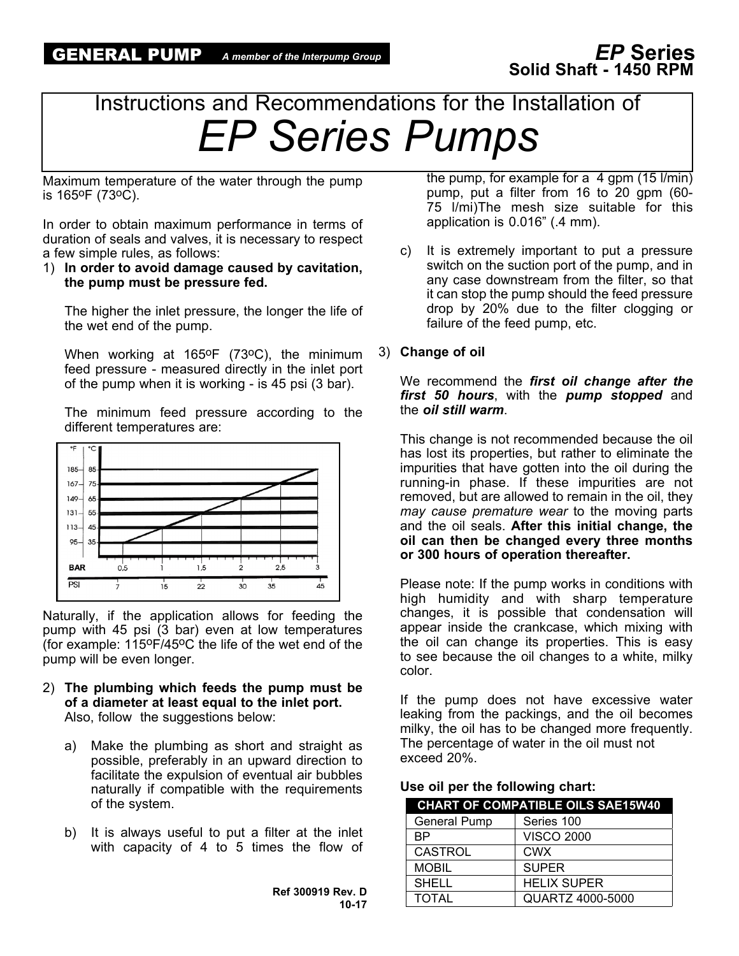## Instructions and Recommendations for the Installation of *EP Series Pumps*

Maximum temperature of the water through the pump is 165oF (73oC).

In order to obtain maximum performance in terms of duration of seals and valves, it is necessary to respect a few simple rules, as follows:

1) **In order to avoid damage caused by cavitation, the pump must be pressure fed.**

The higher the inlet pressure, the longer the life of the wet end of the pump.

When working at 165°F (73°C), the minimum feed pressure - measured directly in the inlet port of the pump when it is working - is 45 psi (3 bar).

The minimum feed pressure according to the different temperatures are:



Naturally, if the application allows for feeding the pump with 45 psi (3 bar) even at low temperatures (for example: 115oF/45oC the life of the wet end of the pump will be even longer.

- 2) **The plumbing which feeds the pump must be of a diameter at least equal to the inlet port.** Also, follow the suggestions below:
	- a) Make the plumbing as short and straight as possible, preferably in an upward direction to facilitate the expulsion of eventual air bubbles naturally if compatible with the requirements of the system.
	- b) It is always useful to put a filter at the inlet with capacity of 4 to 5 times the flow of

**Ref 300919 Rev. D 10-17** the pump, for example for a  $4$  gpm (15 l/min) pump, put a filter from 16 to 20 gpm (60- 75 l/mi)The mesh size suitable for this application is 0.016" (.4 mm).

c) It is extremely important to put a pressure switch on the suction port of the pump, and in any case downstream from the filter, so that it can stop the pump should the feed pressure drop by 20% due to the filter clogging or failure of the feed pump, etc.

#### 3) **Change of oil**

We recommend the *first oil change after the first 50 hours*, with the *pump stopped* and the *oil still warm*.

This change is not recommended because the oil has lost its properties, but rather to eliminate the impurities that have gotten into the oil during the running-in phase. If these impurities are not removed, but are allowed to remain in the oil, they *may cause premature wear* to the moving parts and the oil seals. **After this initial change, the oil can then be changed every three months or 300 hours of operation thereafter.**

Please note: If the pump works in conditions with high humidity and with sharp temperature changes, it is possible that condensation will appear inside the crankcase, which mixing with the oil can change its properties. This is easy to see because the oil changes to a white, milky color.

If the pump does not have excessive water leaking from the packings, and the oil becomes milky, the oil has to be changed more frequently. The percentage of water in the oil must not exceed 20%.

|  |  | Use oil per the following chart: |  |
|--|--|----------------------------------|--|
|--|--|----------------------------------|--|

|                     | <b>CHART OF COMPATIBLE OILS SAE15W40</b> |
|---------------------|------------------------------------------|
| <b>General Pump</b> | Series 100                               |
| <b>BP</b>           | <b>VISCO 2000</b>                        |
| <b>CASTROL</b>      | <b>CWX</b>                               |
| <b>MOBIL</b>        | <b>SUPER</b>                             |
| <b>SHELL</b>        | <b>HELIX SUPER</b>                       |
| <b>TOTAL</b>        | <b>QUARTZ 4000-5000</b>                  |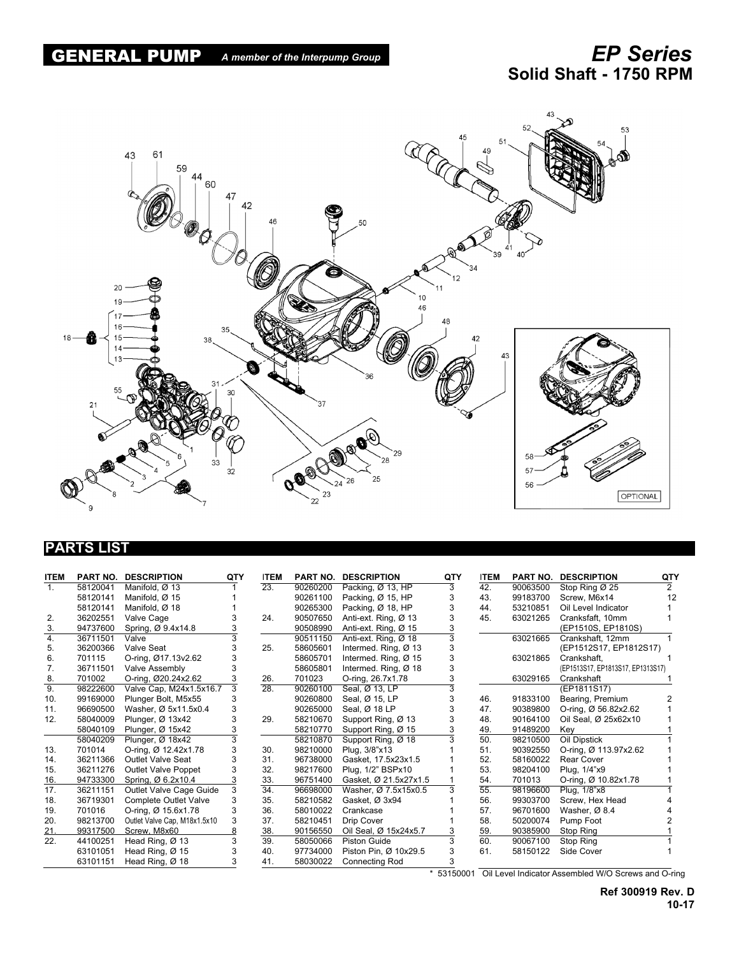

#### **PARTS LIST**

| <b>ITEM</b>    | <b>PART NO.</b> | <b>DESCRIPTION</b>           | QTY | <b>ITEM</b>       | <b>PART NO.</b> | <b>DESCRIPTION</b>    | QTY | <b>ITEM</b>       | <b>PART NO.</b> | <b>DESCRIPTION</b>                | QTY            |
|----------------|-----------------|------------------------------|-----|-------------------|-----------------|-----------------------|-----|-------------------|-----------------|-----------------------------------|----------------|
| $\mathbf{1}$ . | 58120041        | Manifold, Ø 13               |     | $\overline{23}$ . | 90260200        | Packing, Ø 13, HP     | 3   | 42.               | 90063500        | Stop Ring $\varnothing$ 25        | $\overline{2}$ |
|                | 58120141        | Manifold, Ø 15               |     |                   | 90261100        | Packing, Ø 15, HP     |     | 43.               | 99183700        | Screw, M6x14                      | 12             |
|                | 58120141        | Manifold, Ø 18               |     |                   | 90265300        | Packing, Ø 18, HP     | 3   | 44.               | 53210851        | Oil Level Indicator               |                |
| 2.             | 36202551        | Valve Cage                   |     | 24.               | 90507650        | Anti-ext. Ring, Ø 13  | 3   | 45.               | 63021265        | Cranksfaft, 10mm                  |                |
| 3.             | 94737600        | Spring, Ø 9.4x14.8           |     |                   | 90508990        | Anti-ext. Ring, Ø 15  | 3   |                   |                 | (EP1510S, EP1810S)                |                |
| 4.             | 36711501        | Valve                        |     |                   | 90511150        | Anti-ext. Ring, Ø 18  | 3   |                   | 63021665        | Crankshaft, 12mm                  |                |
| 5.             | 36200366        | Valve Seat                   |     | 25.               | 58605601        | Intermed. Ring, Ø 13  | 3   |                   |                 | (EP1512S17, EP1812S17)            |                |
| 6.             | 701115          | O-ring, Ø17.13v2.62          |     |                   | 58605701        | Intermed. Ring, Ø 15  | 3   |                   | 63021865        | Crankshaft,                       |                |
| 7.             | 36711501        | Valve Assembly               |     |                   | 58605801        | Intermed. Ring, Ø 18  | 3   |                   |                 | (EP1513S17, EP1813S17, EP1313S17) |                |
| 8.             | 701002          | O-ring, Ø20.24x2.62          |     | 26.               | 701023          | O-ring, 26.7x1.78     |     |                   | 63029165        | Crankshaft                        |                |
| 9.             | 98222600        | Valve Cap, M24x1.5x16.7      | 3   | $\overline{28}$ . | 90260100        | Seal, Ø 13, LP        |     |                   |                 | (EP1811S17)                       |                |
| 10.            | 99169000        | Plunger Bolt, M5x55          |     |                   | 90260800        | Seal, Ø 15, LP        |     | 46.               | 91833100        | Bearing, Premium                  |                |
| 11.            | 96690500        | Washer, Ø 5x11.5x0.4         | 3   |                   | 90265000        | Seal, Ø 18 LP         |     | 47.               | 90389800        | O-ring, Ø 56.82x2.62              |                |
| 12.            | 58040009        | Plunger, Ø 13x42             |     | 29.               | 58210670        | Support Ring, Ø 13    |     | 48.               | 90164100        | Oil Seal, Ø 25x62x10              |                |
|                | 58040109        | Plunger, Ø 15x42             |     |                   | 58210770        | Support Ring, Ø 15    |     | 49.               | 91489200        | Key                               |                |
|                | 58040209        | Plunger, Ø 18x42             |     |                   | 58210870        | Support Ring, Ø 18    |     | 50.               | 98210500        | Oil Dipstick                      |                |
| 13.            | 701014          | O-ring, Ø 12.42x1.78         |     | 30.               | 98210000        | Plug, 3/8"x13         |     | 51.               | 90392550        | O-ring, Ø 113.97x2.62             |                |
| 14.            | 36211366        | <b>Outlet Valve Seat</b>     |     | 31.               | 96738000        | Gasket, 17.5x23x1.5   |     | 52.               | 58160022        | <b>Rear Cover</b>                 |                |
| 15.            | 36211276        | Outlet Valve Poppet          |     | 32.               | 98217600        | Plug, 1/2" BSPx10     |     | 53.               | 98204100        | Plug, 1/4"x9                      |                |
| 16.            | 94733300        | Spring, Ø 6.2x10.4           |     | 33.               | 96751400        | Gasket, Ø 21.5x27x1.5 |     | 54.               | 701013          | O-ring, Ø 10.82x1.78              |                |
| 17.            | 36211151        | Outlet Valve Cage Guide      | 3   | 34.               | 96698000        | Washer, Ø 7.5x15x0.5  |     | $\overline{55}$ . | 98196600        | Plug, 1/8"x8                      |                |
| 18.            | 36719301        | Complete Outlet Valve        | 3   | 35.               | 58210582        | Gasket, Ø 3x94        |     | 56.               | 99303700        | Screw. Hex Head                   |                |
| 19.            | 701016          | O-ring, Ø 15.6x1.78          | 3   | 36.               | 58010022        | Crankcase             |     | 57.               | 96701600        | Washer, Ø 8.4                     |                |
| 20.            | 98213700        | Outlet Valve Cap, M18x1.5x10 | 3   | 37.               | 58210451        | Drip Cover            |     | 58.               | 50200074        | Pump Foot                         |                |
| 21.            | 99317500        | Screw, M8x60                 |     | 38.               | 90156550        | Oil Seal, Ø 15x24x5.7 |     | 59.               | 90385900        | Stop Ring                         |                |
| 22.            | 44100251        | Head Ring, $Ø$ 13            |     | 39.               | 58050066        | <b>Piston Guide</b>   |     | 60.               | 90067100        | Stop Ring                         |                |
|                | 63101051        | Head Ring, Ø 15              |     | 40.               | 97734000        | Piston Pin, Ø 10x29.5 |     | 61.               | 58150122        | Side Cover                        |                |
|                | 63101151        | Head Ring, Ø 18              |     | 41.               | 58030022        | <b>Connecting Rod</b> |     |                   |                 |                                   |                |

\* 53150001 Oil Level Indicator Assembled W/O Screws and O-ring